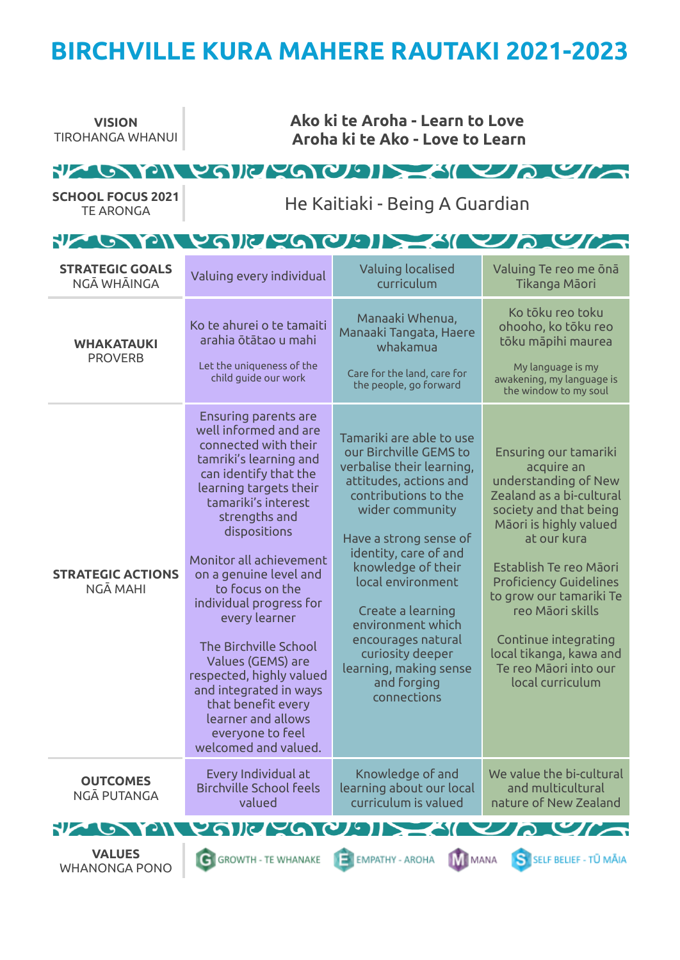# **BIRCHVILLE KURA MAHERE RAUTAKI 2021-2023**

| <b>VISION</b><br><b>TIROHANGA WHANUI</b>     | Ako ki te Aroha - Learn to Love<br>Aroha ki te Ako - Love to Learn                                                                                                                                                                                                                                                                                                                                                                                                                                                                |                                                                                                                                                                                                                                                                                                                                                                                                |                                                                                                                                                                                                                                                                                                                                                                      |  |  |  |
|----------------------------------------------|-----------------------------------------------------------------------------------------------------------------------------------------------------------------------------------------------------------------------------------------------------------------------------------------------------------------------------------------------------------------------------------------------------------------------------------------------------------------------------------------------------------------------------------|------------------------------------------------------------------------------------------------------------------------------------------------------------------------------------------------------------------------------------------------------------------------------------------------------------------------------------------------------------------------------------------------|----------------------------------------------------------------------------------------------------------------------------------------------------------------------------------------------------------------------------------------------------------------------------------------------------------------------------------------------------------------------|--|--|--|
| <b>SCHOOL FOCUS 2021</b><br><b>TE ARONGA</b> | FLORID CONFIDERING COM<br>He Kaitiaki - Being A Guardian                                                                                                                                                                                                                                                                                                                                                                                                                                                                          |                                                                                                                                                                                                                                                                                                                                                                                                |                                                                                                                                                                                                                                                                                                                                                                      |  |  |  |
|                                              |                                                                                                                                                                                                                                                                                                                                                                                                                                                                                                                                   | FLORID COLLEGE DE LA CITY                                                                                                                                                                                                                                                                                                                                                                      |                                                                                                                                                                                                                                                                                                                                                                      |  |  |  |
| <b>STRATEGIC GOALS</b><br>NGĀ WHĀINGA        | Valuing every individual                                                                                                                                                                                                                                                                                                                                                                                                                                                                                                          | Valuing localised<br>curriculum                                                                                                                                                                                                                                                                                                                                                                | Valuing Te reo me ona<br>Tikanga Māori                                                                                                                                                                                                                                                                                                                               |  |  |  |
| <b>WHAKATAUKI</b><br><b>PROVERB</b>          | Ko te ahurei o te tamaiti<br>arahia ōtātao u mahi<br>Let the uniqueness of the<br>child guide our work                                                                                                                                                                                                                                                                                                                                                                                                                            | Manaaki Whenua,<br>Manaaki Tangata, Haere<br>whakamua<br>Care for the land, care for<br>the people, go forward                                                                                                                                                                                                                                                                                 | Ko tōku reo toku<br>ohooho, ko tōku reo<br>tōku māpihi maurea<br>My language is my<br>awakening, my language is<br>the window to my soul                                                                                                                                                                                                                             |  |  |  |
| <b>STRATEGIC ACTIONS</b><br>NGĀ MAHI         | <b>Ensuring parents are</b><br>well informed and are<br>connected with their<br>tamriki's learning and<br>can identify that the<br>learning targets their<br>tamariki's interest<br>strengths and<br>dispositions<br>Monitor all achievement<br>on a genuine level and<br>to focus on the<br>individual progress for<br>every learner<br>The Birchville School<br>Values (GEMS) are<br>respected, highly valued<br>and integrated in ways<br>that benefit every<br>learner and allows<br>everyone to feel<br>welcomed and valued. | Tamariki are able to use<br>our Birchville GEMS to<br>verbalise their learning,<br>attitudes, actions and<br>contributions to the<br>wider community<br>Have a strong sense of<br>identity, care of and<br>knowledge of their<br>local environment<br>Create a learning<br>environment which<br>encourages natural<br>curiosity deeper<br>learning, making sense<br>and forging<br>connections | Ensuring our tamariki<br>acquire an<br>understanding of New<br>Zealand as a bi-cultural<br>society and that being<br>Māori is highly valued<br>at our kura<br>Establish Te reo Māori<br><b>Proficiency Guidelines</b><br>to grow our tamariki Te<br>reo Māori skills<br>Continue integrating<br>local tikanga, kawa and<br>Te reo Māori into our<br>local curriculum |  |  |  |
| <b>OUTCOMES</b><br>NGĀ PUTANGA               | Every Individual at<br><b>Birchville School feels</b><br>valued                                                                                                                                                                                                                                                                                                                                                                                                                                                                   | Knowledge of and<br>learning about our local<br>curriculum is valued                                                                                                                                                                                                                                                                                                                           | We value the bi-cultural<br>and multicultural<br>nature of New Zealand                                                                                                                                                                                                                                                                                               |  |  |  |
| $\mathbf{W}$ on $\mathbf{V}$                 | PAIL PACIE SI                                                                                                                                                                                                                                                                                                                                                                                                                                                                                                                     |                                                                                                                                                                                                                                                                                                                                                                                                | $\mathcal{L}$                                                                                                                                                                                                                                                                                                                                                        |  |  |  |
| <b>VALUES</b><br><b>WHANONGA PONO</b>        | <b>C</b> GROWTH - TE WHANAKE                                                                                                                                                                                                                                                                                                                                                                                                                                                                                                      | EMPATHY - AROHA<br><b>N</b> MANA                                                                                                                                                                                                                                                                                                                                                               | S SELF BELIEF - TŪ MĀIA                                                                                                                                                                                                                                                                                                                                              |  |  |  |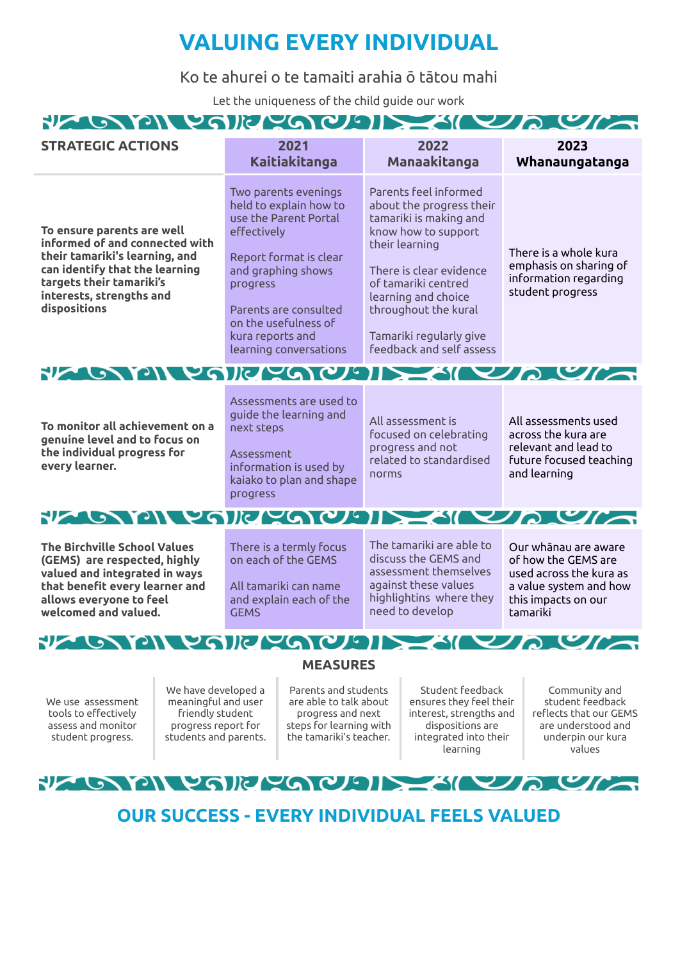## **VALUING EVERY INDIVIDUAL**

Ko te ahurei o te tamaiti arahia ō tātou mahi

Let the uniqueness of the child guide our work

#### **NAILWAIR MAY/LAIN**  $M \cup I \cap I$ an Maria A

| 2022<br>2023<br><b>STRATEGIC ACTIONS</b><br>2021<br><b>Kaitiakitanga</b><br><b>Manaakitanga</b><br>Parents feel informed<br>Two parents evenings<br>held to explain how to<br>about the progress their<br>use the Parent Portal<br>tamariki is making and<br>To ensure parents are well<br>effectively<br>know how to support<br>informed of and connected with<br>their learning<br>their tamariki's learning, and<br>Report format is clear<br>can identify that the learning<br>and graphing shows<br>There is clear evidence<br>targets their tamariki's<br>of tamariki centred<br>progress<br>student progress<br>interests, strengths and<br>learning and choice<br>dispositions<br>Parents are consulted<br>throughout the kural<br>on the usefulness of<br>kura reports and<br>Tamariki regularly give |                                                                          |  |  |  |  |
|----------------------------------------------------------------------------------------------------------------------------------------------------------------------------------------------------------------------------------------------------------------------------------------------------------------------------------------------------------------------------------------------------------------------------------------------------------------------------------------------------------------------------------------------------------------------------------------------------------------------------------------------------------------------------------------------------------------------------------------------------------------------------------------------------------------|--------------------------------------------------------------------------|--|--|--|--|
|                                                                                                                                                                                                                                                                                                                                                                                                                                                                                                                                                                                                                                                                                                                                                                                                                | Whanaungatanga                                                           |  |  |  |  |
| feedback and self assess<br>learning conversations                                                                                                                                                                                                                                                                                                                                                                                                                                                                                                                                                                                                                                                                                                                                                             | There is a whole kura<br>emphasis on sharing of<br>information regarding |  |  |  |  |
| FLORID PRINCER COMPLETE LA CAL                                                                                                                                                                                                                                                                                                                                                                                                                                                                                                                                                                                                                                                                                                                                                                                 |                                                                          |  |  |  |  |
| Assessments are used to<br>guide the learning and<br>All assessment is<br>To monitor all achievement on a<br>next steps<br>focused on celebrating<br>across the kura are<br>genuine level and to focus on<br>progress and not<br>relevant and lead to<br>the individual progress for<br>Assessment<br>related to standardised<br>every learner.<br>information is used by<br>and learning<br>norms<br>kaiako to plan and shape<br>progress                                                                                                                                                                                                                                                                                                                                                                     | All assessments used<br>future focused teaching                          |  |  |  |  |
| FLOWENCE COOPERATION                                                                                                                                                                                                                                                                                                                                                                                                                                                                                                                                                                                                                                                                                                                                                                                           |                                                                          |  |  |  |  |
| The tamariki are able to<br>The Birchville School Values<br>There is a termly focus<br>Our whānau are aware<br>discuss the GEMS and<br>on each of the GEMS<br>(GEMS) are respected, highly<br>of how the GEMS are<br>assessment themselves<br>valued and integrated in ways<br>used across the kura as<br>against these values<br>that benefit every learner and<br>All tamariki can name<br>a value system and how<br>highlightins where they<br>allows everyone to feel<br>and explain each of the<br>this impacts on our<br>need to develop<br>welcomed and valued.<br><b>GEMS</b><br>tamariki                                                                                                                                                                                                              |                                                                          |  |  |  |  |
| FLOOPING SQUAIN<br><b>URUGIT</b>                                                                                                                                                                                                                                                                                                                                                                                                                                                                                                                                                                                                                                                                                                                                                                               |                                                                          |  |  |  |  |
| <b>MEASURES</b>                                                                                                                                                                                                                                                                                                                                                                                                                                                                                                                                                                                                                                                                                                                                                                                                |                                                                          |  |  |  |  |
| Student feedback<br>We have developed a<br>Parents and students<br>Community and<br>are able to talk about<br>student feedback<br>meaningful and user<br>ensures they feel their<br>We use assessment<br>tools to effectively<br>friendly student<br>reflects that our GEMS<br>progress and next<br>interest, strengths and<br>dispositions are<br>are understood and<br>assess and monitor<br>progress report for<br>steps for learning with<br>the tamariki's teacher.<br>students and parents.<br>integrated into their<br>underpin our kura<br>student progress.<br>learning<br>values                                                                                                                                                                                                                     |                                                                          |  |  |  |  |
| PLO PILYARYACHE SILVACIÓN                                                                                                                                                                                                                                                                                                                                                                                                                                                                                                                                                                                                                                                                                                                                                                                      |                                                                          |  |  |  |  |
| <b>OUR SUCCESS - EVERY INDIVIDUAL FEELS VALUED</b>                                                                                                                                                                                                                                                                                                                                                                                                                                                                                                                                                                                                                                                                                                                                                             |                                                                          |  |  |  |  |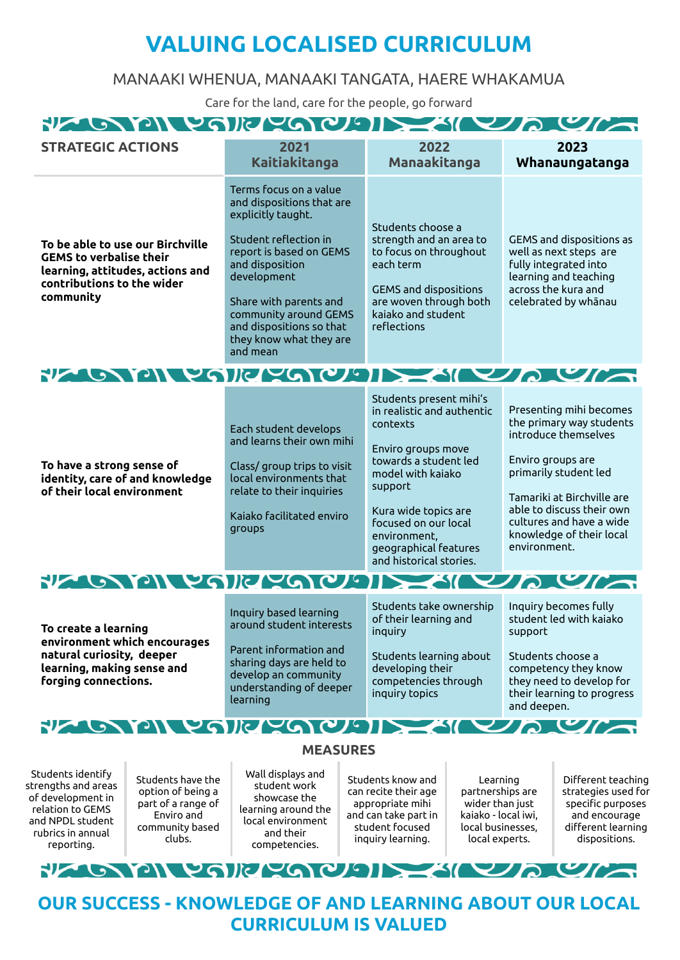## **VALUING LOCALISED CURRICULUM**

### MANAAKI WHENUA, MANAAKI TANGATA, HAERE WHAKAMUA

Care for the land, care for the people, go forward

**AN EVAID A WAY DAIN**  $\sim$  $\overline{\mathbf{r}^{\prime}}$ **SIE 41** 

| <b>STRATEGIC ACTIONS</b>                                                                                                                          |                                                                            | 2021<br><b>Kaitiakitanga</b>                                                                                                                                                                                                                                                          |  | 2022<br>Manaakitanga                                                                                                                                                                                                                                                 |                                                                        |                                                                                                                                                                                                                                                              | 2023<br>Whanaungatanga                                                          |
|---------------------------------------------------------------------------------------------------------------------------------------------------|----------------------------------------------------------------------------|---------------------------------------------------------------------------------------------------------------------------------------------------------------------------------------------------------------------------------------------------------------------------------------|--|----------------------------------------------------------------------------------------------------------------------------------------------------------------------------------------------------------------------------------------------------------------------|------------------------------------------------------------------------|--------------------------------------------------------------------------------------------------------------------------------------------------------------------------------------------------------------------------------------------------------------|---------------------------------------------------------------------------------|
| To be able to use our Birchville<br><b>GEMS to verbalise their</b><br>learning, attitudes, actions and<br>contributions to the wider<br>community |                                                                            | Terms focus on a value<br>and dispositions that are<br>explicitly taught.<br>Student reflection in<br>report is based on GEMS<br>and disposition<br>development<br>Share with parents and<br>community around GEMS<br>and dispositions so that<br>they know what they are<br>and mean |  | Students choose a<br>strength and an area to<br>to focus on throughout<br>each term<br><b>GEMS</b> and dispositions<br>are woven through both<br>kaiako and student<br>reflections                                                                                   |                                                                        | GEMS and dispositions as<br>well as next steps are<br>fully integrated into<br>learning and teaching<br>across the kura and<br>celebrated by whānau                                                                                                          |                                                                                 |
|                                                                                                                                                   |                                                                            | FLORID YOKYOQUE SILVA YA                                                                                                                                                                                                                                                              |  |                                                                                                                                                                                                                                                                      |                                                                        |                                                                                                                                                                                                                                                              |                                                                                 |
| To have a strong sense of<br>identity, care of and knowledge<br>of their local environment                                                        |                                                                            | Each student develops<br>and learns their own mihi<br>Class/ group trips to visit<br>local environments that<br>relate to their inquiries<br>Kaiako facilitated enviro<br>groups                                                                                                      |  | Students present mihi's<br>in realistic and authentic<br>contexts<br>Enviro groups move<br>towards a student led<br>model with kaiako<br>support<br>Kura wide topics are<br>focused on our local<br>environment,<br>geographical features<br>and historical stories. |                                                                        | Presenting mihi becomes<br>the primary way students<br>introduce themselves<br>Enviro groups are<br>primarily student led<br>Tamariki at Birchville are<br>able to discuss their own<br>cultures and have a wide<br>knowledge of their local<br>environment. |                                                                                 |
|                                                                                                                                                   |                                                                            | FLOODING POINT POPUL                                                                                                                                                                                                                                                                  |  |                                                                                                                                                                                                                                                                      |                                                                        |                                                                                                                                                                                                                                                              | $\mathcal{L}$                                                                   |
| To create a learning<br>environment which encourages<br>natural curiosity, deeper<br>learning, making sense and<br>forging connections.           |                                                                            | Inquiry based learning<br>around student interests<br>Parent information and<br>sharing days are held to<br>develop an community<br>understanding of deeper<br>learning                                                                                                               |  | Students take ownership<br>of their learning and<br>inquiry<br>Students learning about<br>developing their<br>competencies through<br>inquiry topics                                                                                                                 |                                                                        | Inquiry becomes fully<br>student led with kaiako<br>support<br>Students choose a<br>competency they know<br>they need to develop for<br>their learning to progress<br>and deepen.                                                                            |                                                                                 |
|                                                                                                                                                   |                                                                            | FLOORICAL COMPANY                                                                                                                                                                                                                                                                     |  |                                                                                                                                                                                                                                                                      |                                                                        |                                                                                                                                                                                                                                                              | $\mathcal{L}$                                                                   |
|                                                                                                                                                   |                                                                            | <b>MEASURES</b>                                                                                                                                                                                                                                                                       |  |                                                                                                                                                                                                                                                                      |                                                                        |                                                                                                                                                                                                                                                              |                                                                                 |
| Students identify<br>strengths and areas<br>of development in<br>relation to GEMS<br>and NPDL student                                             | Students have the<br>option of being a<br>part of a range of<br>Enviro and | Wall displays and<br>student work<br>showcase the<br>learning around the<br>local environment                                                                                                                                                                                         |  | Students know and<br>can recite their age<br>appropriate mihi<br>and can take part in                                                                                                                                                                                | Learning<br>partnerships are<br>wider than just<br>kaiako - local iwi, |                                                                                                                                                                                                                                                              | Different teaching<br>strategies used for<br>specific purposes<br>and encourage |

**YAIKYA**  $U \cap V$ RIZ G 77 C

student focused inquiry learning.

local businesses, local experts.

different learning dispositions.

and their competencies.

rubrics in annual reporting.

community based clubs.

**OUR SUCCESS - KNOWLEDGE OF AND LEARNING ABOUT OUR LOCAL CURRICULUM IS VALUED**